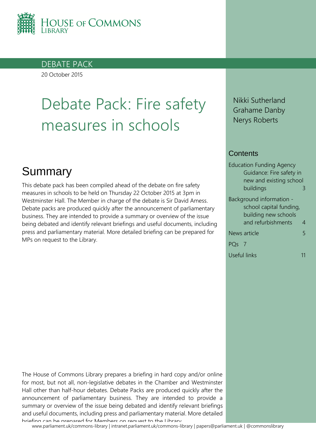

### DEBATE PACK

20 October 2015

# Debate Pack: Fire safety measures in schools

## Summary

This debate pack has been compiled ahead of the debate on fire safety measures in schools to be held on Thursday 22 October 2015 at 3pm in Westminster Hall. The Member in charge of the debate is Sir David Amess. Debate packs are produced quickly after the announcement of parliamentary business. They are intended to provide a summary or overview of the issue being debated and identify relevant briefings and useful documents, including press and parliamentary material. More detailed briefing can be prepared for MPs on request to the Library.

The House of Commons Library prepares a briefing in hard copy and/or online for most, but not all, non-legislative debates in the Chamber and Westminster Hall other than half-hour debates. Debate Packs are produced quickly after the announcement of parliamentary business. They are intended to provide a summary or overview of the issue being debated and identify relevant briefings and useful documents, including press and parliamentary material. More detailed briefing can be prepared for Members on request to the Library.

Nikki Sutherland Grahame Danby Nerys Roberts

### **Contents**

| <b>Education Funding Agency</b><br>Guidance: Fire safety in<br>new and existing school<br>buildings | 3 |
|-----------------------------------------------------------------------------------------------------|---|
| Background information -<br>school capital funding,<br>building new schools<br>and refurbishments   |   |
| News article                                                                                        | 5 |
| PQs 7                                                                                               |   |
| Useful links                                                                                        |   |

www.parliament.uk/commons-library | intranet.parliament.uk/commons-library | papers@parliament.uk | @commonslibrary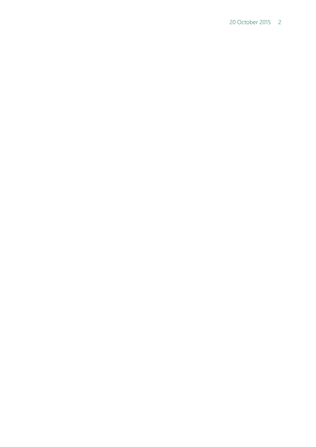### 20 October 2015 2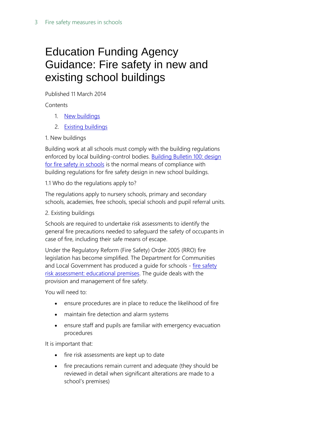# <span id="page-2-0"></span>Education Funding Agency Guidance: Fire safety in new and existing school buildings

Published 11 March 2014

### Contents

- 1. [New buildings](https://www.gov.uk/government/publications/fire-safety-in-new-and-existing-school-buildings/fire-safety-in-new-and-existing-school-buildings#new-buildings)
- 2. [Existing buildings](https://www.gov.uk/government/publications/fire-safety-in-new-and-existing-school-buildings/fire-safety-in-new-and-existing-school-buildings#existing-buildings)
- 1. New buildings

Building work at all schools must comply with the building regulations enforced by local building-control bodies. Building Bulletin 100: design [for fire safety in schools](https://www.gov.uk/government/publications/building-bulletin-100-design-for-fire-safety-in-schools) is the normal means of compliance with building regulations for fire safety design in new school buildings.

### 1.1 Who do the regulations apply to?

The regulations apply to nursery schools, primary and secondary schools, academies, free schools, special schools and pupil referral units.

#### 2. Existing buildings

Schools are required to undertake risk assessments to identify the general fire precautions needed to safeguard the safety of occupants in case of fire, including their safe means of escape.

Under the Regulatory Reform (Fire Safety) Order 2005 (RRO) fire legislation has become simplified. The Department for Communities and Local Government has produced a quide for schools - fire safety [risk assessment: educational premises.](https://www.gov.uk/government/publications/fire-safety-risk-assessment-educational-premises) The quide deals with the provision and management of fire safety.

You will need to:

- ensure procedures are in place to reduce the likelihood of fire
- maintain fire detection and alarm systems
- ensure staff and pupils are familiar with emergency evacuation procedures

It is important that:

- fire risk assessments are kept up to date
- fire precautions remain current and adequate (they should be reviewed in detail when significant alterations are made to a school's premises)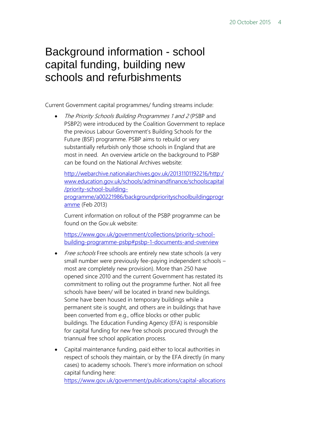### <span id="page-3-0"></span>Background information - school capital funding, building new schools and refurbishments

Current Government capital programmes/ funding streams include:

• The Priority Schools Building Programmes 1 and 2 (PSBP and PSBP2) were introduced by the Coalition Government to replace the previous Labour Government's Building Schools for the Future (BSF) programme. PSBP aims to rebuild or very substantially refurbish only those schools in England that are most in need. An overview article on the background to PSBP can be found on the National Archives website:

[http://webarchive.nationalarchives.gov.uk/20131101192216/http:/](http://webarchive.nationalarchives.gov.uk/20131101192216/http:/www.education.gov.uk/schools/adminandfinance/schoolscapital/priority-school-building-programme/a00221986/backgroundpriorityschoolbuildingprogramme) [www.education.gov.uk/schools/adminandfinance/schoolscapital](http://webarchive.nationalarchives.gov.uk/20131101192216/http:/www.education.gov.uk/schools/adminandfinance/schoolscapital/priority-school-building-programme/a00221986/backgroundpriorityschoolbuildingprogramme) [/priority-school-building](http://webarchive.nationalarchives.gov.uk/20131101192216/http:/www.education.gov.uk/schools/adminandfinance/schoolscapital/priority-school-building-programme/a00221986/backgroundpriorityschoolbuildingprogramme)[programme/a00221986/backgroundpriorityschoolbuildingprogr](http://webarchive.nationalarchives.gov.uk/20131101192216/http:/www.education.gov.uk/schools/adminandfinance/schoolscapital/priority-school-building-programme/a00221986/backgroundpriorityschoolbuildingprogramme) [amme](http://webarchive.nationalarchives.gov.uk/20131101192216/http:/www.education.gov.uk/schools/adminandfinance/schoolscapital/priority-school-building-programme/a00221986/backgroundpriorityschoolbuildingprogramme) (Feb 2013)

Current information on rollout of the PSBP programme can be found on the Gov.uk website:

[https://www.gov.uk/government/collections/priority-school](https://www.gov.uk/government/collections/priority-school-building-programme-psbp#psbp-1-documents-and-overview)[building-programme-psbp#psbp-1-documents-and-overview](https://www.gov.uk/government/collections/priority-school-building-programme-psbp#psbp-1-documents-and-overview)

- Free schools Free schools are entirely new state schools (a very small number were previously fee-paying independent schools – most are completely new provision). More than 250 have opened since 2010 and the current Government has restated its commitment to rolling out the programme further. Not all free schools have been/ will be located in brand new buildings. Some have been housed in temporary buildings while a permanent site is sought, and others are in buildings that have been converted from e.g., office blocks or other public buildings. The Education Funding Agency (EFA) is responsible for capital funding for new free schools procured through the triannual free school application process.
- Capital maintenance funding, paid either to local authorities in respect of schools they maintain, or by the EFA directly (in many cases) to academy schools. There's more information on school capital funding here:

<https://www.gov.uk/government/publications/capital-allocations>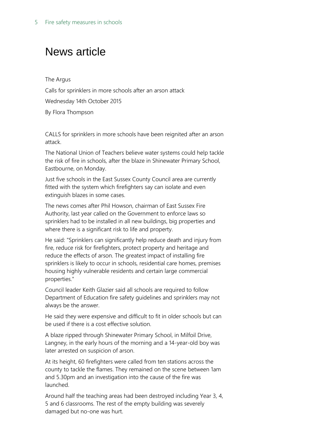### <span id="page-4-0"></span>News article

The Argus

Calls for sprinklers in more schools after an arson attack

Wednesday 14th October 2015

By Flora Thompson

CALLS for sprinklers in more schools have been reignited after an arson attack.

The National Union of Teachers believe water systems could help tackle the risk of fire in schools, after the blaze in Shinewater Primary School, Eastbourne, on Monday.

Just five schools in the East Sussex County Council area are currently fitted with the system which firefighters say can isolate and even extinguish blazes in some cases.

The news comes after Phil Howson, chairman of East Sussex Fire Authority, last year called on the Government to enforce laws so sprinklers had to be installed in all new buildings, big properties and where there is a significant risk to life and property.

He said: "Sprinklers can significantly help reduce death and injury from fire, reduce risk for firefighters, protect property and heritage and reduce the effects of arson. The greatest impact of installing fire sprinklers is likely to occur in schools, residential care homes, premises housing highly vulnerable residents and certain large commercial properties."

Council leader Keith Glazier said all schools are required to follow Department of Education fire safety guidelines and sprinklers may not always be the answer.

He said they were expensive and difficult to fit in older schools but can be used if there is a cost effective solution.

A blaze ripped through Shinewater Primary School, in Milfoil Drive, Langney, in the early hours of the morning and a 14-year-old boy was later arrested on suspicion of arson.

At its height, 60 firefighters were called from ten stations across the county to tackle the flames. They remained on the scene between 1am and 5.30pm and an investigation into the cause of the fire was launched.

Around half the teaching areas had been destroyed including Year 3, 4, 5 and 6 classrooms. The rest of the empty building was severely damaged but no-one was hurt.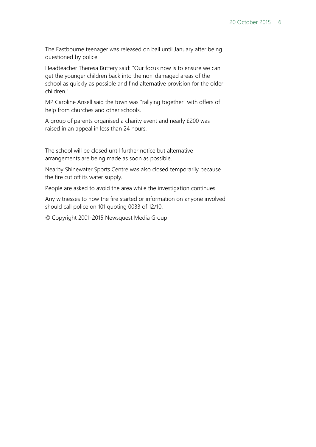The Eastbourne teenager was released on bail until January after being questioned by police.

Headteacher Theresa Buttery said: "Our focus now is to ensure we can get the younger children back into the non-damaged areas of the school as quickly as possible and find alternative provision for the older children."

MP Caroline Ansell said the town was "rallying together" with offers of help from churches and other schools.

A group of parents organised a charity event and nearly £200 was raised in an appeal in less than 24 hours.

The school will be closed until further notice but alternative arrangements are being made as soon as possible.

Nearby Shinewater Sports Centre was also closed temporarily because the fire cut off its water supply.

People are asked to avoid the area while the investigation continues.

Any witnesses to how the fire started or information on anyone involved should call police on 101 quoting 0033 of 12/10.

© Copyright 2001-2015 Newsquest Media Group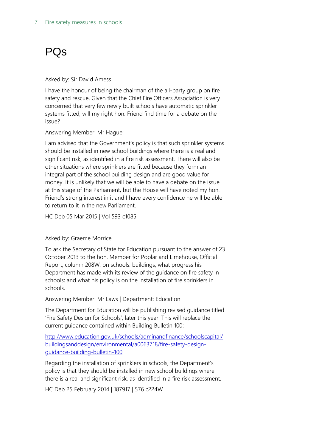# <span id="page-6-0"></span>PQs

Asked by: Sir David Amess

I have the honour of being the chairman of the all-party group on fire safety and rescue. Given that the Chief Fire Officers Association is very concerned that very few newly built schools have automatic sprinkler systems fitted, will my right hon. Friend find time for a debate on the issue?

Answering Member: Mr Hague:

I am advised that the Government's policy is that such sprinkler systems should be installed in new school buildings where there is a real and significant risk, as identified in a fire risk assessment. There will also be other situations where sprinklers are fitted because they form an integral part of the school building design and are good value for money. It is unlikely that we will be able to have a debate on the issue at this stage of the Parliament, but the House will have noted my hon. Friend's strong interest in it and I have every confidence he will be able to return to it in the new Parliament.

HC Deb 05 Mar 2015 | Vol 593 c1085

#### Asked by: Graeme Morrice

To ask the Secretary of State for Education pursuant to the answer of 23 October 2013 to the hon. Member for Poplar and Limehouse, Official Report, column 208W, on schools: buildings, what progress his Department has made with its review of the guidance on fire safety in schools; and what his policy is on the installation of fire sprinklers in schools.

Answering Member: Mr Laws | Department: Education

The Department for Education will be publishing revised guidance titled 'Fire Safety Design for Schools', later this year. This will replace the current guidance contained within Building Bulletin 100:

[http://www.education.gov.uk/schools/adminandfinance/schoolscapital/](http://www.education.gov.uk/schools/adminandfinance/schoolscapital/buildingsanddesign/environmental/a0063718/fire-safety-design-guidance-building-bulletin-100) [buildingsanddesign/environmental/a0063718/fire-safety-design](http://www.education.gov.uk/schools/adminandfinance/schoolscapital/buildingsanddesign/environmental/a0063718/fire-safety-design-guidance-building-bulletin-100)[guidance-building-bulletin-100](http://www.education.gov.uk/schools/adminandfinance/schoolscapital/buildingsanddesign/environmental/a0063718/fire-safety-design-guidance-building-bulletin-100)

Regarding the installation of sprinklers in schools, the Department's policy is that they should be installed in new school buildings where there is a real and significant risk, as identified in a fire risk assessment.

HC Deb 25 February 2014 | 187917 | 576 c224W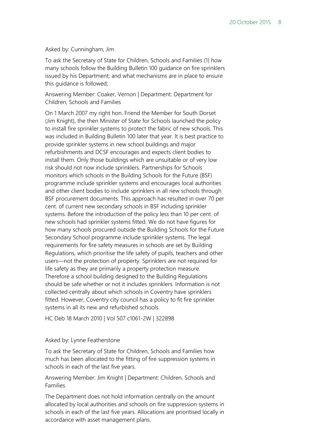#### Asked by: Cunningham, Jim

To ask the Secretary of State for Children, Schools and Families (1) how many schools follow the Building Bulletin 100 guidance on fire sprinklers issued by his Department; and what mechanisms are in place to ensure this guidance is followed;

Answering Member: Coaker, Vernon | Department: Department for Children, Schools and Families

On 1 March 2007 my right hon. Friend the Member for South Dorset (Jim Knight), the then Minister of State for Schools launched the policy to install fire sprinkler systems to protect the fabric of new schools. This was included in Building Bulletin 100 later that year. It is best practice to provide sprinkler systems in new school buildings and major refurbishments and DCSF encourages and expects client bodies to install them. Only those buildings which are unsuitable or of very low risk should not now include sprinklers. Partnerships for Schools monitors which schools in the Building Schools for the Future (BSF) programme include sprinkler systems and encourages local authorities and other client bodies to include sprinklers in all new schools through BSF procurement documents. This approach has resulted in over 70 per cent. of current new secondary schools in BSF including sprinkler systems. Before the introduction of the policy less than 10 per cent. of new schools had sprinkler systems fitted. We do not have figures for how many schools procured outside the Building Schools for the Future Secondary School programme include sprinkler systems. The legal requirements for fire safety measures in schools are set by Building Regulations, which prioritise the life safety of pupils, teachers and other users—not the protection of property. Sprinklers are not required for life safety as they are primarily a property protection measure. Therefore a school building designed to the Building Regulations should be safe whether or not it includes sprinklers. Information is not collected centrally about which schools in Coventry have sprinklers fitted. However, Coventry city council has a policy to fit fire sprinkler systems in all its new and refurbished schools.

HC Deb 18 March 2010 | Vol 507 c1061-2W | 322898

#### Asked by: Lynne Featherstone

To ask the Secretary of State for Children, Schools and Families how much has been allocated to the fitting of fire suppression systems in schools in each of the last five years.

#### Answering Member: Jim Knight | Department: Children, Schools and Families

The Department does not hold information centrally on the amount allocated by local authorities and schools on fire suppression systems in schools in each of the last five years. Allocations are prioritised locally in accordance with asset management plans.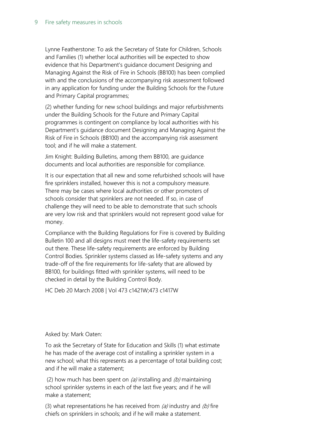Lynne Featherstone: To ask the Secretary of State for Children, Schools and Families (1) whether local authorities will be expected to show evidence that his Department's guidance document Designing and Managing Against the Risk of Fire in Schools (BB100) has been complied with and the conclusions of the accompanying risk assessment followed in any application for funding under the Building Schools for the Future and Primary Capital programmes;

(2) whether funding for new school buildings and major refurbishments under the Building Schools for the Future and Primary Capital programmes is contingent on compliance by local authorities with his Department's guidance document Designing and Managing Against the Risk of Fire in Schools (BB100) and the accompanying risk assessment tool; and if he will make a statement.

Jim Knight: Building Bulletins, among them BB100, are guidance documents and local authorities are responsible for compliance.

It is our expectation that all new and some refurbished schools will have fire sprinklers installed, however this is not a compulsory measure. There may be cases where local authorities or other promoters of schools consider that sprinklers are not needed. If so, in case of challenge they will need to be able to demonstrate that such schools are very low risk and that sprinklers would not represent good value for money.

Compliance with the Building Regulations for Fire is covered by Building Bulletin 100 and all designs must meet the life-safety requirements set out there. These life-safety requirements are enforced by Building Control Bodies. Sprinkler systems classed as life-safety systems and any trade-off of the fire requirements for life-safety that are allowed by BB100, for buildings fitted with sprinkler systems, will need to be checked in detail by the Building Control Body.

HC Deb 20 March 2008 | Vol 473 c1421W;473 c1417W

#### Asked by: Mark Oaten:

To ask the Secretary of State for Education and Skills (1) what estimate he has made of the average cost of installing a sprinkler system in a new school; what this represents as a percentage of total building cost; and if he will make a statement;

(2) how much has been spent on  $(a)$  installing and  $(b)$  maintaining school sprinkler systems in each of the last five years; and if he will make a statement;

(3) what representations he has received from  $(a)$  industry and  $(b)$  fire chiefs on sprinklers in schools; and if he will make a statement.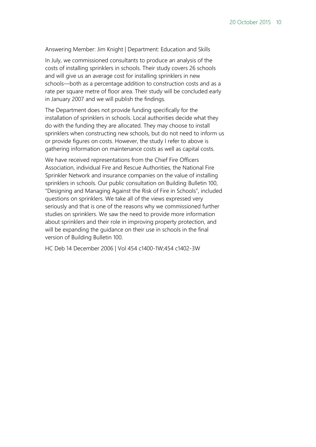Answering Member: Jim Knight | Department: Education and Skills

In July, we commissioned consultants to produce an analysis of the costs of installing sprinklers in schools. Their study covers 26 schools and will give us an average cost for installing sprinklers in new schools—both as a percentage addition to construction costs and as a rate per square metre of floor area. Their study will be concluded early in January 2007 and we will publish the findings.

The Department does not provide funding specifically for the installation of sprinklers in schools. Local authorities decide what they do with the funding they are allocated. They may choose to install sprinklers when constructing new schools, but do not need to inform us or provide figures on costs. However, the study I refer to above is gathering information on maintenance costs as well as capital costs.

We have received representations from the Chief Fire Officers Association, individual Fire and Rescue Authorities, the National Fire Sprinkler Network and insurance companies on the value of installing sprinklers in schools. Our public consultation on Building Bulletin 100, "Designing and Managing Against the Risk of Fire in Schools", included questions on sprinklers. We take all of the views expressed very seriously and that is one of the reasons why we commissioned further studies on sprinklers. We saw the need to provide more information about sprinklers and their role in improving property protection, and will be expanding the guidance on their use in schools in the final version of Building Bulletin 100.

HC Deb 14 December 2006 | Vol 454 c1400-1W;454 c1402-3W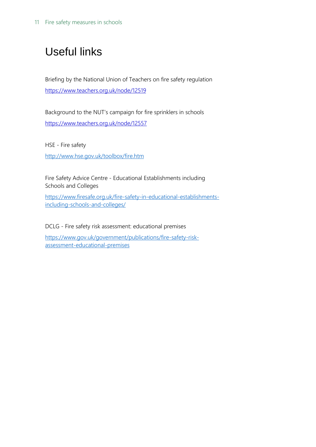# <span id="page-10-0"></span>Useful links

Briefing by the National Union of Teachers on fire safety regulation <https://www.teachers.org.uk/node/12519>

Background to the NUT's campaign for fire sprinklers in schools <https://www.teachers.org.uk/node/12557>

HSE - Fire safety <http://www.hse.gov.uk/toolbox/fire.htm>

Fire Safety Advice Centre - Educational Establishments including Schools and Colleges

[https://www.firesafe.org.uk/fire-safety-in-educational-establishments](https://www.firesafe.org.uk/fire-safety-in-educational-establishments-including-schools-and-colleges/)[including-schools-and-colleges/](https://www.firesafe.org.uk/fire-safety-in-educational-establishments-including-schools-and-colleges/)

DCLG - Fire safety risk assessment: educational premises

[https://www.gov.uk/government/publications/fire-safety-risk](https://www.gov.uk/government/publications/fire-safety-risk-assessment-educational-premises)[assessment-educational-premises](https://www.gov.uk/government/publications/fire-safety-risk-assessment-educational-premises)